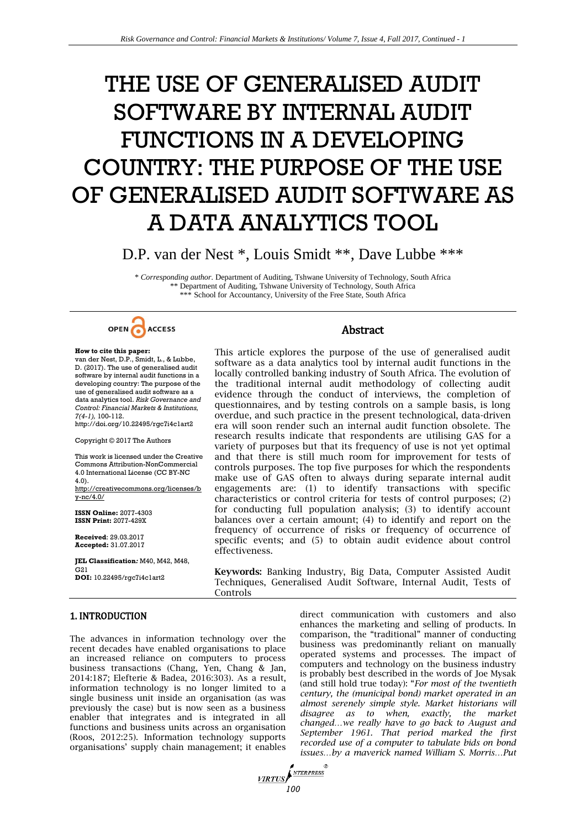# THE USE OF GENERALISED AUDIT SOFTWARE BY INTERNAL AUDIT FUNCTIONS IN A DEVELOPING COUNTRY: THE PURPOSE OF THE USE OF GENERALISED AUDIT SOFTWARE AS A DATA ANALYTICS TOOL

D.P. van der Nest \*, Louis Smidt \*\*, Dave Lubbe \*\*\*

\* *Corresponding author.* Department of Auditing, Tshwane University of Technology, South Africa \*\* Department of Auditing, Tshwane University of Technology, South Africa \*\*\* School for Accountancy, University of the Free State, South Africa



### **How to cite this paper:**

van der Nest, D.P., Smidt, L., & Lubbe, D. (2017). The use of generalised audit software by internal audit functions in a developing country: The purpose of the use of generalised audit software as a data analytics tool. *Risk Governance and Control: Financial Markets & Institutions, 7(4-1),* 100-112.

http://doi.org/10.22495/rgc7i4c1art2

Copyright © 2017 The Authors

This work is licensed under the Creative Commons Attribution-NonCommercial 4.0 International License (CC BY-NC 4.0). http://creativecommons.org/licenses/b

y-nc/4.0/

**ISSN Online:** 2077-4303 **ISSN Print:** 2077-429X

**Received**: 29.03.2017 **Accepted:** 31.07.2017

**JEL Classification***:* M40, M42, M48,  $G21$ **DOI:** 10.22495/rgc7i4c1art2

## Abstract

This article explores the purpose of the use of generalised audit software as a data analytics tool by internal audit functions in the locally controlled banking industry of South Africa. The evolution of the traditional internal audit methodology of collecting audit evidence through the conduct of interviews, the completion of questionnaires, and by testing controls on a sample basis, is long overdue, and such practice in the present technological, data-driven era will soon render such an internal audit function obsolete. The research results indicate that respondents are utilising GAS for a variety of purposes but that its frequency of use is not yet optimal and that there is still much room for improvement for tests of controls purposes. The top five purposes for which the respondents make use of GAS often to always during separate internal audit engagements are: (1) to identify transactions with specific characteristics or control criteria for tests of control purposes; (2) for conducting full population analysis; (3) to identify account balances over a certain amount; (4) to identify and report on the frequency of occurrence of risks or frequency of occurrence of specific events; and (5) to obtain audit evidence about control effectiveness.

**Keywords:** Banking Industry, Big Data, Computer Assisted Audit Techniques, Generalised Audit Software, Internal Audit, Tests of Controls

1. INTRODUCTION

The advances in information technology over the recent decades have enabled organisations to place an increased reliance on computers to process business transactions (Chang, Yen, Chang & Jan, 2014:187; Elefterie & Badea, 2016:303). As a result, information technology is no longer limited to a single business unit inside an organisation (as was previously the case) but is now seen as a business enabler that integrates and is integrated in all functions and business units across an organisation (Roos, 2012:25). Information technology supports organisations' supply chain management; it enables direct communication with customers and also enhances the marketing and selling of products. In comparison, the "traditional" manner of conducting business was predominantly reliant on manually operated systems and processes. The impact of computers and technology on the business industry is probably best described in the words of Joe Mysak (and still hold true today): "*For most of the twentieth century, the (municipal bond) market operated in an almost serenely simple style. Market historians will disagree as to when, exactly, the market changed…we really have to go back to August and September 1961. That period marked the first recorded use of a computer to tabulate bids on bond issues…by a maverick named William S. Morris…Put* 

**VIRTUS**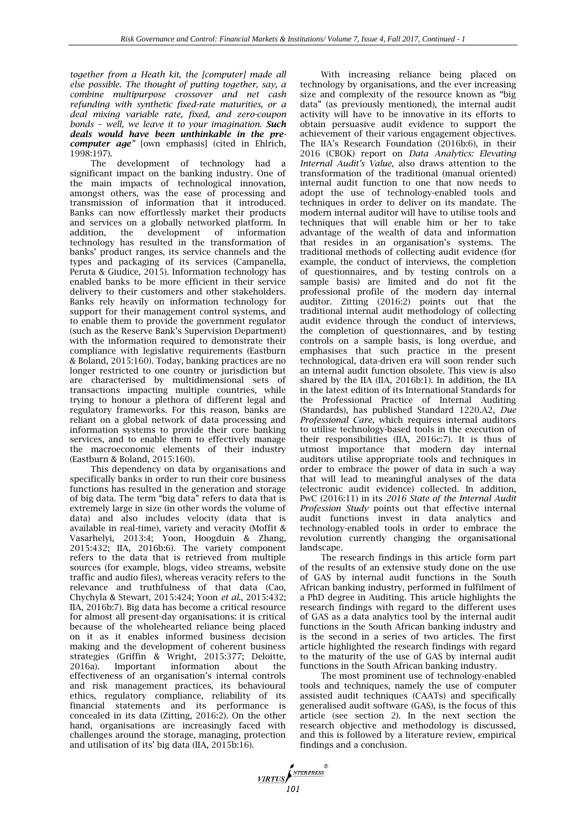*together from a Heath kit, the [computer] made all else possible. The thought of putting together, say, a combine multipurpose crossover and net cash refunding with synthetic fixed-rate maturities, or a deal mixing variable rate, fixed, and zero-coupon bonds – well, we leave it to your imagination. Such deals would have been unthinkable in the precomputer age"* [own emphasis] (cited in Ehlrich, 1998:197).

The development of technology had a significant impact on the banking industry. One of the main impacts of technological innovation, amongst others, was the ease of processing and transmission of information that it introduced. Banks can now effortlessly market their products and services on a globally networked platform. In addition, the development of information addition, the development of information technology has resulted in the transformation of banks' product ranges, its service channels and the types and packaging of its services (Campanella, Peruta & Giudice, 2015). Information technology has enabled banks to be more efficient in their service delivery to their customers and other stakeholders. Banks rely heavily on information technology for support for their management control systems, and to enable them to provide the government regulator (such as the Reserve Bank's Supervision Department) with the information required to demonstrate their compliance with legislative requirements (Eastburn & Boland, 2015:160). Today, banking practices are no longer restricted to one country or jurisdiction but are characterised by multidimensional sets of transactions impacting multiple countries, while trying to honour a plethora of different legal and regulatory frameworks. For this reason, banks are reliant on a global network of data processing and information systems to provide their core banking services, and to enable them to effectively manage the macroeconomic elements of their industry (Eastburn & Boland, 2015:160).

This dependency on data by organisations and specifically banks in order to run their core business functions has resulted in the generation and storage of big data. The term "big data" refers to data that is extremely large in size (in other words the volume of data) and also includes velocity (data that is available in real-time), variety and veracity (Moffit & Vasarhelyi, 2013:4; Yoon, Hoogduin & Zhang, 2015:432; IIA, 2016b:6). The variety component refers to the data that is retrieved from multiple sources (for example, blogs, video streams, website traffic and audio files), whereas veracity refers to the relevance and truthfulness of that data (Cao, Chychyla & Stewart, 2015:424; Yoon *et al*., 2015:432; IIA, 2016b:7). Big data has become a critical resource for almost all present-day organisations: it is critical because of the wholehearted reliance being placed on it as it enables informed business decision making and the development of coherent business strategies (Griffin & Wright, 2015:377; Deloitte, 2016a). Important information about the effectiveness of an organisation's internal controls and risk management practices, its behavioural ethics, regulatory compliance, reliability of its financial statements and its performance is concealed in its data (Zitting, 2016:2). On the other hand, organisations are increasingly faced with challenges around the storage, managing, protection and utilisation of its' big data (IIA, 2015b:16).

With increasing reliance being placed on technology by organisations, and the ever increasing size and complexity of the resource known as "big data" (as previously mentioned), the internal audit activity will have to be innovative in its efforts to obtain persuasive audit evidence to support the achievement of their various engagement objectives. The IIA's Research Foundation (2016b:6), in their 2016 (CBOK) report on *Data Analytics: Elevating Internal Audit's Value*, also draws attention to the transformation of the traditional (manual oriented) internal audit function to one that now needs to adopt the use of technology-enabled tools and techniques in order to deliver on its mandate. The modern internal auditor will have to utilise tools and techniques that will enable him or her to take advantage of the wealth of data and information that resides in an organisation's systems. The traditional methods of collecting audit evidence (for example, the conduct of interviews, the completion of questionnaires, and by testing controls on a sample basis) are limited and do not fit the professional profile of the modern day internal auditor. Zitting (2016:2) points out that the traditional internal audit methodology of collecting audit evidence through the conduct of interviews, the completion of questionnaires, and by testing controls on a sample basis, is long overdue, and emphasises that such practice in the present technological, data-driven era will soon render such an internal audit function obsolete. This view is also shared by the IIA (IIA, 2016b:1). In addition, the IIA in the latest edition of its International Standards for the Professional Practice of Internal Auditing (Standards), has published Standard 1220.A2, *Due Professional Care*, which requires internal auditors to utilise technology-based tools in the execution of their responsibilities (IIA, 2016c:7). It is thus of utmost importance that modern day internal auditors utilise appropriate tools and techniques in order to embrace the power of data in such a way that will lead to meaningful analyses of the data (electronic audit evidence) collected. In addition, PwC (2016:11) in its *2016 State of the Internal Audit Profession Study* points out that effective internal audit functions invest in data analytics and technology-enabled tools in order to embrace the revolution currently changing the organisational landscape.

The research findings in this article form part of the results of an extensive study done on the use of GAS by internal audit functions in the South African banking industry, performed in fulfilment of a PhD degree in Auditing. This article highlights the research findings with regard to the different uses of GAS as a data analytics tool by the internal audit functions in the South African banking industry and is the second in a series of two articles. The first article highlighted the research findings with regard to the maturity of the use of GAS by internal audit functions in the South African banking industry.

The most prominent use of technology-enabled tools and techniques, namely the use of computer assisted audit techniques (CAATs) and specifically generalised audit software (GAS), is the focus of this article (see section 2). In the next section the research objective and methodology is discussed, and this is followed by a literature review, empirical findings and a conclusion.

**11RTUS**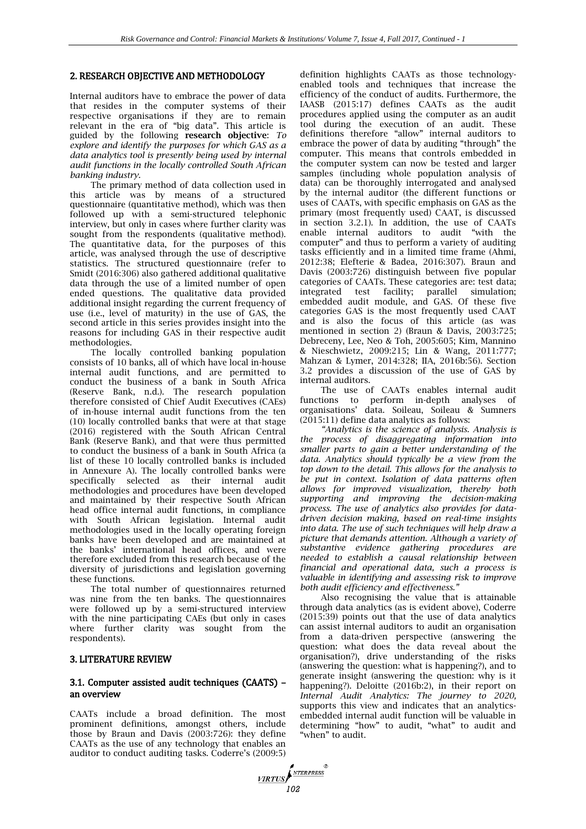### 2. RESEARCH OBJECTIVE AND METHODOLOGY

Internal auditors have to embrace the power of data that resides in the computer systems of their respective organisations if they are to remain relevant in the era of "big data". This article is guided by the following **research objective**: *To explore and identify the purposes for which GAS as a data analytics tool is presently being used by internal audit functions in the locally controlled South African banking industry.*

The primary method of data collection used in this article was by means of a structured questionnaire (quantitative method), which was then followed up with a semi-structured telephonic interview, but only in cases where further clarity was sought from the respondents (qualitative method). The quantitative data, for the purposes of this article, was analysed through the use of descriptive statistics. The structured questionnaire (refer to Smidt (2016:306) also gathered additional qualitative data through the use of a limited number of open ended questions. The qualitative data provided additional insight regarding the current frequency of use (i.e., level of maturity) in the use of GAS, the second article in this series provides insight into the reasons for including GAS in their respective audit methodologies.

The locally controlled banking population consists of 10 banks, all of which have local in-house internal audit functions, and are permitted to conduct the business of a bank in South Africa (Reserve Bank, n.d.). The research population therefore consisted of Chief Audit Executives (CAEs) of in-house internal audit functions from the ten (10) locally controlled banks that were at that stage (2016) registered with the South African Central Bank (Reserve Bank), and that were thus permitted to conduct the business of a bank in South Africa (a list of these 10 locally controlled banks is included in Annexure A). The locally controlled banks were specifically selected as their internal audit methodologies and procedures have been developed and maintained by their respective South African head office internal audit functions, in compliance with South African legislation. Internal audit methodologies used in the locally operating foreign banks have been developed and are maintained at the banks' international head offices, and were therefore excluded from this research because of the diversity of jurisdictions and legislation governing these functions.

The total number of questionnaires returned was nine from the ten banks. The questionnaires were followed up by a semi-structured interview with the nine participating CAEs (but only in cases where further clarity was sought from the respondents).

#### 3. LITERATURE REVIEW

## 3.1. Computer assisted audit techniques (CAATS) – an overview

CAATs include a broad definition. The most prominent definitions, amongst others, include those by Braun and Davis (2003:726): they define CAATs as the use of any technology that enables an auditor to conduct auditing tasks. Coderre's (2009:5)

definition highlights CAATs as those technologyenabled tools and techniques that increase the efficiency of the conduct of audits. Furthermore, the IAASB (2015:17) defines CAATs as the audit procedures applied using the computer as an audit tool during the execution of an audit. These definitions therefore "allow" internal auditors to embrace the power of data by auditing "through" the computer. This means that controls embedded in the computer system can now be tested and larger samples (including whole population analysis of data) can be thoroughly interrogated and analysed by the internal auditor (the different functions or uses of CAATs, with specific emphasis on GAS as the primary (most frequently used) CAAT, is discussed in section 3.2.1). In addition, the use of CAATs enable internal auditors to audit "with the computer" and thus to perform a variety of auditing tasks efficiently and in a limited time frame (Ahmi, 2012:38; Elefterie & Badea, 2016:307). Braun and Davis (2003:726) distinguish between five popular categories of CAATs. These categories are: test data; integrated test facility; parallel simulation; embedded audit module, and GAS. Of these five categories GAS is the most frequently used CAAT and is also the focus of this article (as was mentioned in section 2) (Braun & Davis, 2003:725; Debreceny, Lee, Neo & Toh, 2005:605; Kim, Mannino & Nieschwietz, 2009:215; Lin & Wang, 2011:777; Mahzan & Lymer, 2014:328; IIA, 2016b:56). Section 3.2 provides a discussion of the use of GAS by internal auditors.

The use of CAATs enables internal audit functions to perform in-depth analyses of organisations' data. Soileau, Soileau & Sumners (2015:11) define data analytics as follows:

*"Analytics is the science of analysis. Analysis is the process of disaggregating information into smaller parts to gain a better understanding of the data. Analytics should typically be a view from the top down to the detail. This allows for the analysis to be put in context. Isolation of data patterns often allows for improved visualization, thereby both supporting and improving the decision-making process. The use of analytics also provides for datadriven decision making, based on real-time insights into data. The use of such techniques will help draw a picture that demands attention. Although a variety of substantive evidence gathering procedures are needed to establish a causal relationship between financial and operational data, such a process is valuable in identifying and assessing risk to improve both audit efficiency and effectiveness."* 

Also recognising the value that is attainable through data analytics (as is evident above), Coderre (2015:39) points out that the use of data analytics can assist internal auditors to audit an organisation from a data-driven perspective (answering the question: what does the data reveal about the organisation?), drive understanding of the risks (answering the question: what is happening?), and to generate insight (answering the question: why is it happening?). Deloitte (2016b:2), in their report on *Internal Audit Analytics: The journey to 2020,*  supports this view and indicates that an analyticsembedded internal audit function will be valuable in determining "how" to audit, "what" to audit and "when" to audit.

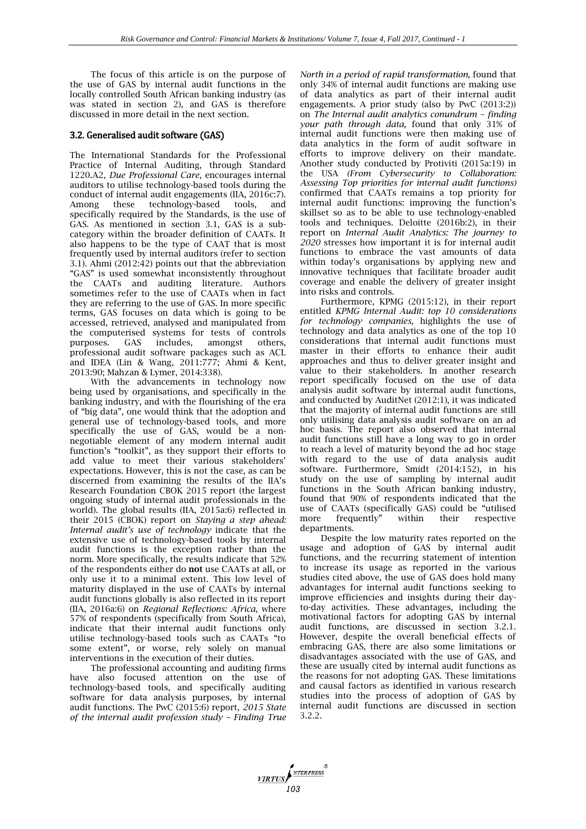The focus of this article is on the purpose of the use of GAS by internal audit functions in the locally controlled South African banking industry (as was stated in section 2), and GAS is therefore discussed in more detail in the next section.

## 3.2. Generalised audit software (GAS)

The International Standards for the Professional Practice of Internal Auditing, through Standard 1220.A2, *Due Professional Care*, encourages internal auditors to utilise technology-based tools during the conduct of internal audit engagements (IIA, 2016c:7). Among these technology-based tools, and specifically required by the Standards, is the use of GAS. As mentioned in section 3.1, GAS is a subcategory within the broader definition of CAATs. It also happens to be the type of CAAT that is most frequently used by internal auditors (refer to section 3.1). Ahmi (2012:42) points out that the abbreviation "GAS" is used somewhat inconsistently throughout the CAATs and auditing literature. Authors sometimes refer to the use of CAATs when in fact they are referring to the use of GAS. In more specific terms, GAS focuses on data which is going to be accessed, retrieved, analysed and manipulated from the computerised systems for tests of controls purposes. GAS includes, amongst others, professional audit software packages such as ACL and IDEA (Lin & Wang, 2011:777; Ahmi & Kent, 2013:90; Mahzan & Lymer, 2014:338).

With the advancements in technology now being used by organisations, and specifically in the banking industry, and with the flourishing of the era of "big data", one would think that the adoption and general use of technology-based tools, and more specifically the use of GAS, would be a nonnegotiable element of any modern internal audit function's "toolkit", as they support their efforts to add value to meet their various stakeholders' expectations. However, this is not the case, as can be discerned from examining the results of the IIA's Research Foundation CBOK 2015 report (the largest ongoing study of internal audit professionals in the world). The global results (IIA, 2015a:6) reflected in their 2015 (CBOK) report on *Staying a step ahead: Internal audit's use of technology* indicate that the extensive use of technology-based tools by internal audit functions is the exception rather than the norm. More specifically, the results indicate that 52% of the respondents either do **not** use CAATs at all, or only use it to a minimal extent. This low level of maturity displayed in the use of CAATs by internal audit functions globally is also reflected in its report (IIA, 2016a:6) on *Regional Reflections: Africa*, where 57% of respondents (specifically from South Africa), indicate that their internal audit functions only utilise technology-based tools such as CAATs "to some extent", or worse, rely solely on manual interventions in the execution of their duties.

The professional accounting and auditing firms have also focused attention on the use of technology-based tools, and specifically auditing software for data analysis purposes, by internal audit functions. The PwC (2015:6) report, *2015 State of the internal audit profession study – Finding True* 

*North in a period of rapid transformation,* found that only 34% of internal audit functions are making use of data analytics as part of their internal audit engagements. A prior study (also by PwC (2013:2)) on *The Internal audit analytics conundrum – finding your path through data,* found that only 31% of internal audit functions were then making use of data analytics in the form of audit software in efforts to improve delivery on their mandate. Another study conducted by Protiviti (2015a:19) in the USA *(From Cybersecurity to Collaboration: Assessing Top priorities for internal audit functions)*  confirmed that CAATs remains a top priority for internal audit functions: improving the function's skillset so as to be able to use technology-enabled tools and techniques. Deloitte (2016b:2), in their report on *Internal Audit Analytics: The journey to 2020* stresses how important it is for internal audit functions to embrace the vast amounts of data within today's organisations by applying new and innovative techniques that facilitate broader audit coverage and enable the delivery of greater insight into risks and controls.

Furthermore, KPMG (2015:12), in their report entitled *KPMG Internal Audit: top 10 considerations for technology companies,* highlights the use of technology and data analytics as one of the top 10 considerations that internal audit functions must master in their efforts to enhance their audit approaches and thus to deliver greater insight and value to their stakeholders. In another research report specifically focused on the use of data analysis audit software by internal audit functions, and conducted by AuditNet (2012:1), it was indicated that the majority of internal audit functions are still only utilising data analysis audit software on an ad hoc basis. The report also observed that internal audit functions still have a long way to go in order to reach a level of maturity beyond the ad hoc stage with regard to the use of data analysis audit software. Furthermore, Smidt (2014:152), in his study on the use of sampling by internal audit functions in the South African banking industry, found that 90% of respondents indicated that the use of CAATs (specifically GAS) could be "utilised more frequently" within their respective departments.

Despite the low maturity rates reported on the usage and adoption of GAS by internal audit functions, and the recurring statement of intention to increase its usage as reported in the various studies cited above, the use of GAS does hold many advantages for internal audit functions seeking to improve efficiencies and insights during their dayto-day activities. These advantages, including the motivational factors for adopting GAS by internal audit functions, are discussed in section 3.2.1. However, despite the overall beneficial effects of embracing GAS, there are also some limitations or disadvantages associated with the use of GAS, and these are usually cited by internal audit functions as the reasons for not adopting GAS. These limitations and causal factors as identified in various research studies into the process of adoption of GAS by internal audit functions are discussed in section 3.2.2.

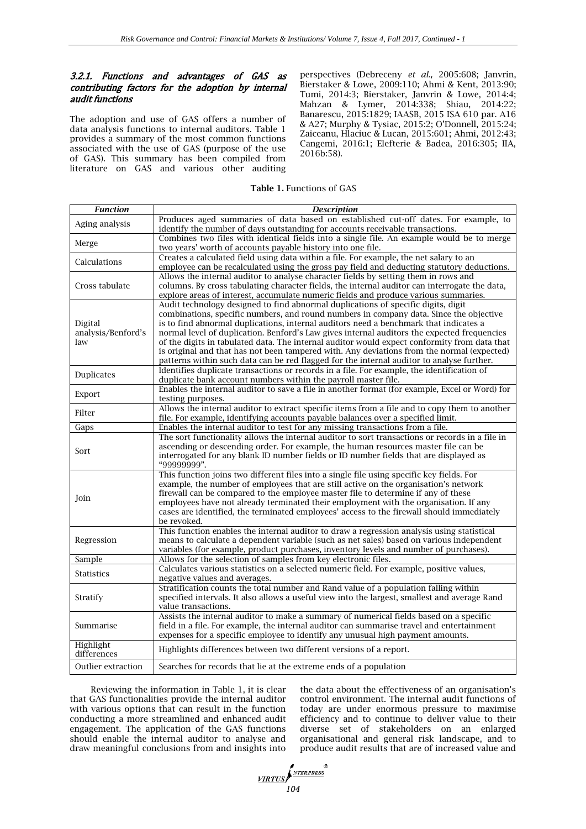## 3.2.1. Functions and advantages of GAS as contributing factors for the adoption by internal audit functions

The adoption and use of GAS offers a number of data analysis functions to internal auditors. Table 1 provides a summary of the most common functions associated with the use of GAS (purpose of the use of GAS). This summary has been compiled from literature on GAS and various other auditing

perspectives (Debreceny *et al.,* 2005:608; Janvrin, Bierstaker & Lowe, 2009:110; Ahmi & Kent, 2013:90; Tumi, 2014:3; Bierstaker, Janvrin & Lowe, 2014:4; Mahzan & Lymer, 2014:338; Shiau, 2014:22; Banarescu, 2015:1829; IAASB, 2015 ISA 610 par. A16 & A27; Murphy & Tysiac, 2015:2; O'Donnell, 2015:24; Zaiceanu, Hlaciuc & Lucan, 2015:601; Ahmi, 2012:43; Cangemi, 2016:1; Elefterie & Badea, 2016:305; IIA, 2016b:58).

**Table 1.** Functions of GAS

| <b>Function</b>                                                                  | <b>Description</b>                                                                                                                                    |
|----------------------------------------------------------------------------------|-------------------------------------------------------------------------------------------------------------------------------------------------------|
| Aging analysis                                                                   | Produces aged summaries of data based on established cut-off dates. For example, to                                                                   |
|                                                                                  | identify the number of days outstanding for accounts receivable transactions.                                                                         |
| Merge                                                                            | Combines two files with identical fields into a single file. An example would be to merge                                                             |
|                                                                                  | two years' worth of accounts payable history into one file.<br>Creates a calculated field using data within a file. For example, the net salary to an |
| Calculations                                                                     | employee can be recalculated using the gross pay field and deducting statutory deductions.                                                            |
|                                                                                  | Allows the internal auditor to analyse character fields by setting them in rows and                                                                   |
| Cross tabulate                                                                   | columns. By cross tabulating character fields, the internal auditor can interrogate the data,                                                         |
|                                                                                  | explore areas of interest, accumulate numeric fields and produce various summaries.                                                                   |
|                                                                                  | Audit technology designed to find abnormal duplications of specific digits, digit                                                                     |
|                                                                                  | combinations, specific numbers, and round numbers in company data. Since the objective                                                                |
| Digital                                                                          | is to find abnormal duplications, internal auditors need a benchmark that indicates a                                                                 |
| analysis/Benford's                                                               | normal level of duplication. Benford's Law gives internal auditors the expected frequencies                                                           |
| law                                                                              | of the digits in tabulated data. The internal auditor would expect conformity from data that                                                          |
|                                                                                  | is original and that has not been tampered with. Any deviations from the normal (expected)                                                            |
|                                                                                  | patterns within such data can be red flagged for the internal auditor to analyse further.                                                             |
| Duplicates                                                                       | Identifies duplicate transactions or records in a file. For example, the identification of                                                            |
|                                                                                  | duplicate bank account numbers within the payroll master file.                                                                                        |
| Export                                                                           | Enables the internal auditor to save a file in another format (for example, Excel or Word) for                                                        |
|                                                                                  | testing purposes.                                                                                                                                     |
| Filter                                                                           | Allows the internal auditor to extract specific items from a file and to copy them to another                                                         |
| file. For example, identifying accounts payable balances over a specified limit. |                                                                                                                                                       |
| Gaps                                                                             | Enables the internal auditor to test for any missing transactions from a file.                                                                        |
|                                                                                  | The sort functionality allows the internal auditor to sort transactions or records in a file in                                                       |
| Sort                                                                             | ascending or descending order. For example, the human resources master file can be                                                                    |
|                                                                                  | interrogated for any blank ID number fields or ID number fields that are displayed as                                                                 |
|                                                                                  | "99999999".<br>This function joins two different files into a single file using specific key fields. For                                              |
|                                                                                  | example, the number of employees that are still active on the organisation's network                                                                  |
|                                                                                  | firewall can be compared to the employee master file to determine if any of these                                                                     |
| Join                                                                             | employees have not already terminated their employment with the organisation. If any                                                                  |
|                                                                                  | cases are identified, the terminated employees' access to the firewall should immediately                                                             |
|                                                                                  | be revoked.                                                                                                                                           |
|                                                                                  | This function enables the internal auditor to draw a regression analysis using statistical                                                            |
| Regression                                                                       | means to calculate a dependent variable (such as net sales) based on various independent                                                              |
|                                                                                  | variables (for example, product purchases, inventory levels and number of purchases).                                                                 |
| Sample                                                                           | Allows for the selection of samples from key electronic files.                                                                                        |
|                                                                                  | Calculates various statistics on a selected numeric field. For example, positive values,                                                              |
| <b>Statistics</b>                                                                | negative values and averages.                                                                                                                         |
| Stratify                                                                         | Stratification counts the total number and Rand value of a population falling within                                                                  |
|                                                                                  | specified intervals. It also allows a useful view into the largest, smallest and average Rand                                                         |
|                                                                                  | value transactions.                                                                                                                                   |
| Summarise                                                                        | Assists the internal auditor to make a summary of numerical fields based on a specific                                                                |
|                                                                                  | field in a file. For example, the internal auditor can summarise travel and entertainment                                                             |
|                                                                                  | expenses for a specific employee to identify any unusual high payment amounts.                                                                        |
| Highlight                                                                        |                                                                                                                                                       |
| differences                                                                      | Highlights differences between two different versions of a report.                                                                                    |
| Outlier extraction                                                               | Searches for records that lie at the extreme ends of a population                                                                                     |
|                                                                                  |                                                                                                                                                       |

Reviewing the information in Table 1, it is clear that GAS functionalities provide the internal auditor with various options that can result in the function conducting a more streamlined and enhanced audit engagement. The application of the GAS functions should enable the internal auditor to analyse and draw meaningful conclusions from and insights into

the data about the effectiveness of an organisation's control environment. The internal audit functions of today are under enormous pressure to maximise efficiency and to continue to deliver value to their diverse set of stakeholders on an enlarged organisational and general risk landscape, and to produce audit results that are of increased value and

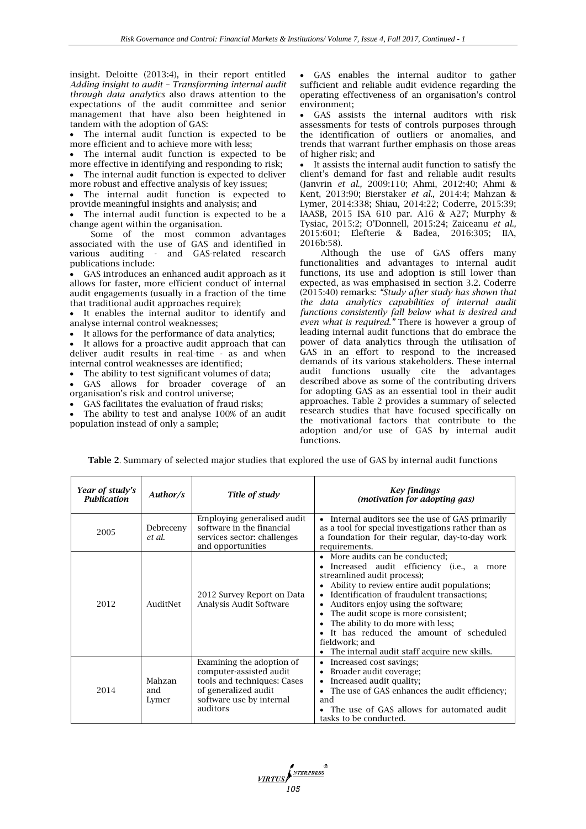insight. Deloitte (2013:4), in their report entitled *Adding insight to audit – Transforming internal audit through data analytics* also draws attention to the expectations of the audit committee and senior management that have also been heightened in tandem with the adoption of GAS:

 The internal audit function is expected to be more efficient and to achieve more with less;

 The internal audit function is expected to be more effective in identifying and responding to risk; The internal audit function is expected to deliver

more robust and effective analysis of key issues;

 The internal audit function is expected to provide meaningful insights and analysis; and

 The internal audit function is expected to be a change agent within the organisation.

Some of the most common advantages associated with the use of GAS and identified in various auditing - and GAS-related research publications include:

 GAS introduces an enhanced audit approach as it allows for faster, more efficient conduct of internal audit engagements (usually in a fraction of the time that traditional audit approaches require);

 It enables the internal auditor to identify and analyse internal control weaknesses;

It allows for the performance of data analytics;

 It allows for a proactive audit approach that can deliver audit results in real-time - as and when internal control weaknesses are identified;

The ability to test significant volumes of data;

 GAS allows for broader coverage of an organisation's risk and control universe;

GAS facilitates the evaluation of fraud risks;

 The ability to test and analyse 100% of an audit population instead of only a sample;

 GAS enables the internal auditor to gather sufficient and reliable audit evidence regarding the operating effectiveness of an organisation's control environment;

 GAS assists the internal auditors with risk assessments for tests of controls purposes through the identification of outliers or anomalies, and trends that warrant further emphasis on those areas of higher risk; and

 It assists the internal audit function to satisfy the client's demand for fast and reliable audit results (Janvrin *et al.,* 2009:110; Ahmi, 2012:40; Ahmi & Kent, 2013:90; Bierstaker *et al.,* 2014:4; Mahzan & Lymer, 2014:338; Shiau, 2014:22; Coderre, 2015:39; IAASB, 2015 ISA 610 par. A16 & A27; Murphy & Tysiac, 2015:2; O'Donnell, 2015:24; Zaiceanu *et al.,* 2015:601; Elefterie & Badea, 2016:305; IIA, 2016b:58).

Although the use of GAS offers many functionalities and advantages to internal audit functions, its use and adoption is still lower than expected, as was emphasised in section 3.2. Coderre (2015:40) remarks: *"Study after study has shown that the data analytics capabilities of internal audit functions consistently fall below what is desired and even what is required."* There is however a group of leading internal audit functions that do embrace the power of data analytics through the utilisation of GAS in an effort to respond to the increased demands of its various stakeholders. These internal audit functions usually cite the advantages described above as some of the contributing drivers for adopting GAS as an essential tool in their audit approaches. Table 2 provides a summary of selected research studies that have focused specifically on the motivational factors that contribute to the adoption and/or use of GAS by internal audit functions.

**Table 2**. Summary of selected major studies that explored the use of GAS by internal audit functions

| Year of study's<br><b>Publication</b> | Author/s               | Title of study                                                                                                                                      | Key findings<br>(motivation for adopting gas)                                                                                                                                                                                                                                                                                                                                                                                                     |  |  |
|---------------------------------------|------------------------|-----------------------------------------------------------------------------------------------------------------------------------------------------|---------------------------------------------------------------------------------------------------------------------------------------------------------------------------------------------------------------------------------------------------------------------------------------------------------------------------------------------------------------------------------------------------------------------------------------------------|--|--|
| 2005                                  | Debreceny<br>et al.    | Employing generalised audit<br>software in the financial<br>services sector: challenges<br>and opportunities                                        | Internal auditors see the use of GAS primarily<br>$\bullet$<br>as a tool for special investigations rather than as<br>a foundation for their regular, day-to-day work<br>requirements.                                                                                                                                                                                                                                                            |  |  |
| 2012                                  | AuditNet               | 2012 Survey Report on Data<br>Analysis Audit Software                                                                                               | • More audits can be conducted:<br>Increased audit efficiency (i.e., a more<br>streamlined audit process);<br>Ability to review entire audit populations;<br>Identification of fraudulent transactions;<br>Auditors enjoy using the software;<br>٠<br>The audit scope is more consistent;<br>٠<br>The ability to do more with less;<br>It has reduced the amount of scheduled<br>fieldwork; and<br>• The internal audit staff acquire new skills. |  |  |
| 2014                                  | Mahzan<br>and<br>Lymer | Examining the adoption of<br>computer-assisted audit<br>tools and techniques: Cases<br>of generalized audit<br>software use by internal<br>auditors | Increased cost savings;<br>٠<br>Broader audit coverage;<br>٠<br>Increased audit quality;<br>٠<br>The use of GAS enhances the audit efficiency;<br>and<br>• The use of GAS allows for automated audit<br>tasks to be conducted.                                                                                                                                                                                                                    |  |  |

**VIRTUS**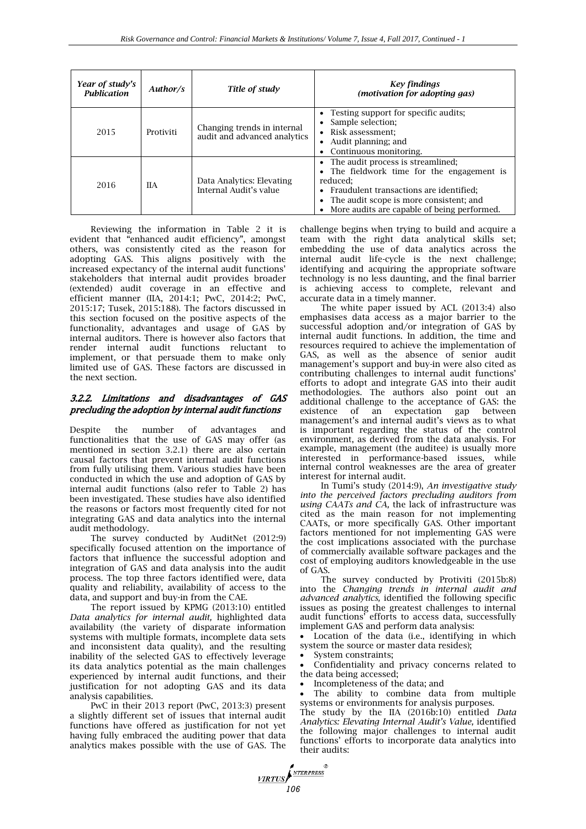| Year of study's<br><b>Publication</b> | Author/s   | Title of study                                              | Key findings<br>(motivation for adopting gas)                                                                                                                                                                                          |  |
|---------------------------------------|------------|-------------------------------------------------------------|----------------------------------------------------------------------------------------------------------------------------------------------------------------------------------------------------------------------------------------|--|
| 2015                                  | Protiviti  | Changing trends in internal<br>audit and advanced analytics | • Testing support for specific audits;<br>Sample selection;<br>• Risk assessment:<br>Audit planning; and<br>Continuous monitoring.                                                                                                     |  |
| 2016                                  | <b>IIA</b> | Data Analytics: Elevating<br>Internal Audit's value         | • The audit process is streamlined;<br>• The fieldwork time for the engagement is<br>reduced:<br>• Fraudulent transactions are identified;<br>The audit scope is more consistent; and<br>• More audits are capable of being performed. |  |

Reviewing the information in Table 2 it is evident that "enhanced audit efficiency", amongst others, was consistently cited as the reason for adopting GAS. This aligns positively with the increased expectancy of the internal audit functions' stakeholders that internal audit provides broader (extended) audit coverage in an effective and efficient manner (IIA, 2014:1; PwC, 2014:2; PwC, 2015:17; Tusek, 2015:188). The factors discussed in this section focused on the positive aspects of the functionality, advantages and usage of GAS by internal auditors. There is however also factors that render internal audit functions reluctant to implement, or that persuade them to make only limited use of GAS. These factors are discussed in the next section.

## 3.2.2. Limitations and disadvantages of GAS precluding the adoption by internal audit functions

Despite the number of advantages and functionalities that the use of GAS may offer (as mentioned in section 3.2.1) there are also certain causal factors that prevent internal audit functions from fully utilising them. Various studies have been conducted in which the use and adoption of GAS by internal audit functions (also refer to Table 2) has been investigated. These studies have also identified the reasons or factors most frequently cited for not integrating GAS and data analytics into the internal audit methodology.

The survey conducted by AuditNet (2012:9) specifically focused attention on the importance of factors that influence the successful adoption and integration of GAS and data analysis into the audit process. The top three factors identified were, data quality and reliability, availability of access to the data, and support and buy-in from the CAE.

The report issued by KPMG (2013:10) entitled *Data analytics for internal audit,* highlighted data availability (the variety of disparate information systems with multiple formats, incomplete data sets and inconsistent data quality), and the resulting inability of the selected GAS to effectively leverage its data analytics potential as the main challenges experienced by internal audit functions, and their justification for not adopting GAS and its data analysis capabilities.

PwC in their 2013 report (PwC, 2013:3) present a slightly different set of issues that internal audit functions have offered as justification for not yet having fully embraced the auditing power that data analytics makes possible with the use of GAS. The challenge begins when trying to build and acquire a team with the right data analytical skills set; embedding the use of data analytics across the internal audit life-cycle is the next challenge; identifying and acquiring the appropriate software technology is no less daunting, and the final barrier is achieving access to complete, relevant and accurate data in a timely manner.

The white paper issued by ACL (2013:4) also emphasises data access as a major barrier to the successful adoption and/or integration of GAS by internal audit functions. In addition, the time and resources required to achieve the implementation of GAS, as well as the absence of senior audit management's support and buy-in were also cited as contributing challenges to internal audit functions' efforts to adopt and integrate GAS into their audit methodologies. The authors also point out an additional challenge to the acceptance of GAS: the existence of an expectation gap between management's and internal audit's views as to what is important regarding the status of the control environment, as derived from the data analysis. For example, management (the auditee) is usually more interested in performance-based issues, while internal control weaknesses are the area of greater interest for internal audit.

In Tumi's study (2014:9), *An investigative study into the perceived factors precluding auditors from using CAATs and CA,* the lack of infrastructure was cited as the main reason for not implementing CAATs, or more specifically GAS. Other important factors mentioned for not implementing GAS were the cost implications associated with the purchase of commercially available software packages and the cost of employing auditors knowledgeable in the use of GAS.

The survey conducted by Protiviti (2015b:8) into the *Changing trends in internal audit and advanced analytics,* identified the following specific issues as posing the greatest challenges to internal audit functions' efforts to access data, successfully implement GAS and perform data analysis:

 Location of the data (i.e., identifying in which system the source or master data resides);

System constraints;

**VIRTUS** 

 Confidentiality and privacy concerns related to the data being accessed;

• Incompleteness of the data; and

 The ability to combine data from multiple systems or environments for analysis purposes.

The study by the IIA (2016b:10) entitled *Data Analytics: Elevating Internal Audit's Value,* identified the following major challenges to internal audit functions' efforts to incorporate data analytics into their audits: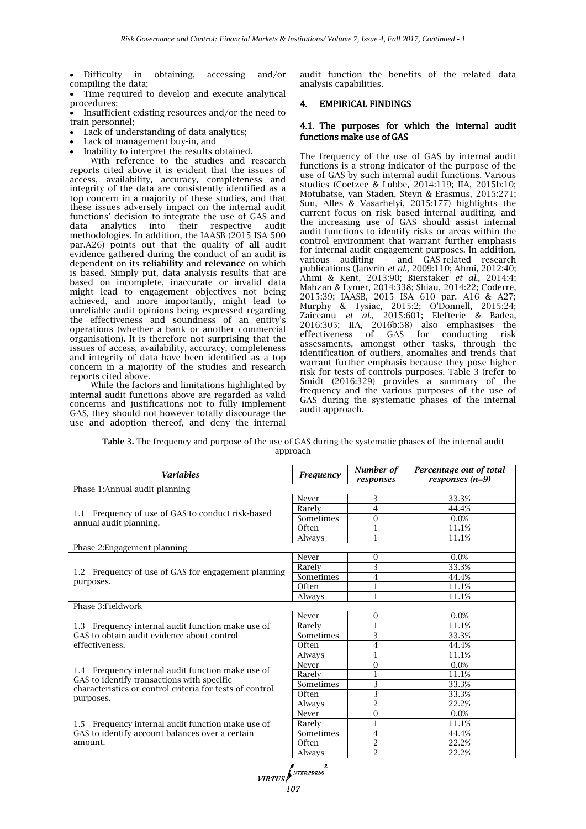Difficulty in obtaining, accessing and/or compiling the data;

 Time required to develop and execute analytical procedures;

 Insufficient existing resources and/or the need to train personnel;

- Lack of understanding of data analytics;
- Lack of management buy-in, and
- Inability to interpret the results obtained.

With reference to the studies and research reports cited above it is evident that the issues of access, availability, accuracy, completeness and integrity of the data are consistently identified as a top concern in a majority of these studies, and that these issues adversely impact on the internal audit functions' decision to integrate the use of GAS and data analytics into their respective audit data analytics into their respective audit methodologies. In addition, the IAASB (2015 ISA 500 par.A26) points out that the quality of **all** audit evidence gathered during the conduct of an audit is dependent on its **reliability** and **relevance** on which is based. Simply put, data analysis results that are based on incomplete, inaccurate or invalid data might lead to engagement objectives not being achieved, and more importantly, might lead to unreliable audit opinions being expressed regarding the effectiveness and soundness of an entity's operations (whether a bank or another commercial organisation). It is therefore not surprising that the issues of access, availability, accuracy, completeness and integrity of data have been identified as a top concern in a majority of the studies and research reports cited above.

While the factors and limitations highlighted by internal audit functions above are regarded as valid concerns and justifications not to fully implement GAS, they should not however totally discourage the use and adoption thereof, and deny the internal

audit function the benefits of the related data analysis capabilities.

## 4. EMPIRICAL FINDINGS

## 4.1. The purposes for which the internal audit functions make use of GAS

The frequency of the use of GAS by internal audit functions is a strong indicator of the purpose of the use of GAS by such internal audit functions. Various studies (Coetzee & Lubbe, 2014:119; IIA, 2015b:10; Motubatse, van Staden, Steyn & Erasmus, 2015:271; Sun, Alles & Vasarhelyi, 2015:177) highlights the current focus on risk based internal auditing, and the increasing use of GAS should assist internal audit functions to identify risks or areas within the control environment that warrant further emphasis for internal audit engagement purposes. In addition, various auditing - and GAS-related research publications (Janvrin *et al.,* 2009:110; Ahmi, 2012:40; Ahmi & Kent, 2013:90; Bierstaker *et al.,* 2014:4; Mahzan & Lymer, 2014:338; Shiau, 2014:22; Coderre, 2015:39; IAASB, 2015 ISA 610 par. A16 & A27; Murphy & Tysiac, 2015:2; O'Donnell, 2015:24; Zaiceanu *et al.,* 2015:601; Elefterie & Badea, 2016:305; IIA, 2016b:58) also emphasises the effectiveness of GAS for conducting risk assessments, amongst other tasks, through the identification of outliers, anomalies and trends that warrant further emphasis because they pose higher risk for tests of controls purposes. Table 3 (refer to Smidt (2016:329) provides a summary of the frequency and the various purposes of the use of GAS during the systematic phases of the internal audit approach.

| <b>Table 3.</b> The frequency and purpose of the use of GAS during the systematic phases of the internal audit |  |
|----------------------------------------------------------------------------------------------------------------|--|
| approach                                                                                                       |  |

| <b>Variables</b>                                                                                | Frequency                                                                                                                                   | Number of<br>responses | Percentage out of total<br>responses $(n=9)$ |
|-------------------------------------------------------------------------------------------------|---------------------------------------------------------------------------------------------------------------------------------------------|------------------------|----------------------------------------------|
| Phase 1:Annual audit planning                                                                   |                                                                                                                                             |                        |                                              |
|                                                                                                 | Never                                                                                                                                       | 3                      | 33.3%                                        |
|                                                                                                 | Rarely                                                                                                                                      | 4                      | 44.4%                                        |
| 1.1 Frequency of use of GAS to conduct risk-based<br>annual audit planning.                     | Sometimes                                                                                                                                   | $\overline{0}$         | 0.0%                                         |
|                                                                                                 | Often                                                                                                                                       |                        | 11.1%                                        |
|                                                                                                 | Always                                                                                                                                      | 1                      | 11.1%                                        |
| Phase 2: Engagement planning                                                                    |                                                                                                                                             |                        |                                              |
|                                                                                                 | Never                                                                                                                                       | $\Omega$               | 0.0%                                         |
| 1.2 Frequency of use of GAS for engagement planning                                             | Rarely                                                                                                                                      | 3                      | 33.3%                                        |
|                                                                                                 | Sometimes                                                                                                                                   | 4                      | 44.4%                                        |
| purposes.                                                                                       | Often                                                                                                                                       |                        | 11.1%                                        |
|                                                                                                 | Always                                                                                                                                      | 1                      | 11.1%                                        |
| Phase 3: Fieldwork                                                                              |                                                                                                                                             |                        |                                              |
|                                                                                                 | Never                                                                                                                                       | $\Omega$               | 0.0%                                         |
| 1.3 Frequency internal audit function make use of                                               | Rarely                                                                                                                                      |                        | 11.1%                                        |
| GAS to obtain audit evidence about control                                                      | Sometimes                                                                                                                                   | 3                      | 33.3%                                        |
| effectiveness.                                                                                  | Often                                                                                                                                       | 4                      | 44.4%                                        |
|                                                                                                 | Always<br>$\Omega$<br>Never<br>Rarely<br>3<br>Sometimes<br>3<br>Often<br>$\overline{2}$<br>Always<br>$\overline{0}$<br>Never<br>Rarely<br>1 |                        | 11.1%                                        |
|                                                                                                 |                                                                                                                                             |                        | 0.0%                                         |
| 1.4 Frequency internal audit function make use of<br>GAS to identify transactions with specific |                                                                                                                                             |                        | 11.1%                                        |
| characteristics or control criteria for tests of control                                        |                                                                                                                                             |                        | 33.3%                                        |
| purposes.                                                                                       |                                                                                                                                             |                        | 33.3%                                        |
|                                                                                                 |                                                                                                                                             |                        | 22.2%                                        |
|                                                                                                 |                                                                                                                                             |                        | 0.0%                                         |
| 1.5 Frequency internal audit function make use of                                               |                                                                                                                                             |                        | 11.1%                                        |
| GAS to identify account balances over a certain                                                 | Sometimes                                                                                                                                   | $\overline{4}$         | 44.4%                                        |
| amount.                                                                                         | Often                                                                                                                                       | $\overline{2}$         | 22.2%                                        |
|                                                                                                 | Always                                                                                                                                      | $\overline{2}$         | 22.2%                                        |

*MRTUS*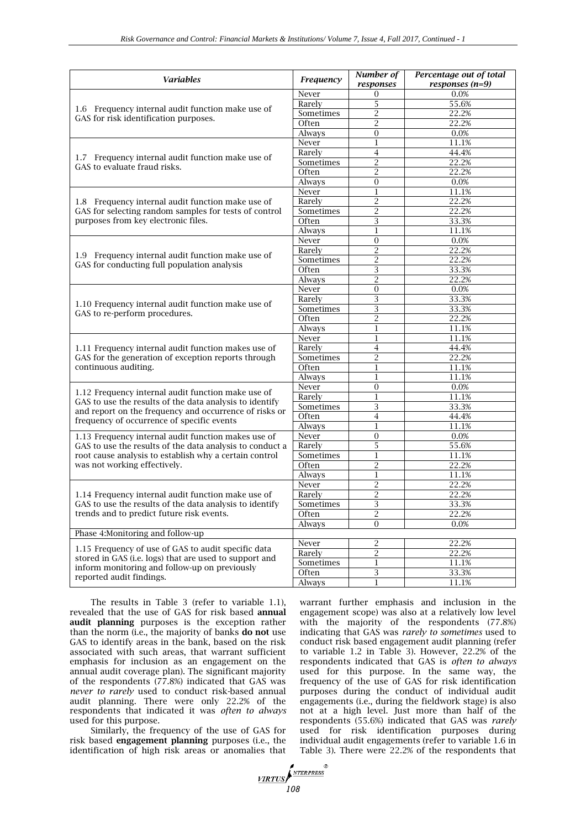| Variables                                                                                            | Frequency     | Number of<br>responses | Percentage out of total<br>responses $(n=9)$ |
|------------------------------------------------------------------------------------------------------|---------------|------------------------|----------------------------------------------|
|                                                                                                      | Never         | 0                      | 0.0%                                         |
|                                                                                                      | Rarely        | 5                      | 55.6%                                        |
| 1.6 Frequency internal audit function make use of                                                    | Sometimes     | $\overline{2}$         | 22.2%                                        |
| GAS for risk identification purposes.                                                                | Often         | $\overline{2}$         | 22.2%                                        |
|                                                                                                      | Always        | $\overline{0}$         | 0.0%                                         |
|                                                                                                      | Never         | 1                      | 11.1%                                        |
|                                                                                                      | Rarely        | $\overline{4}$         | 44.4%                                        |
| 1.7 Frequency internal audit function make use of<br>GAS to evaluate fraud risks.                    | Sometimes     | $\overline{2}$         | 22.2%                                        |
|                                                                                                      | Often         | $\overline{2}$         | 22.2%                                        |
|                                                                                                      | Always        | $\Omega$               | 0.0%                                         |
|                                                                                                      | Never         | 1                      | 11.1%                                        |
| 1.8 Frequency internal audit function make use of                                                    | Rarely        | $\overline{c}$         | 22.2%                                        |
| GAS for selecting random samples for tests of control                                                | Sometimes     | $\overline{2}$         | 22.2%                                        |
| purposes from key electronic files.                                                                  | Often         | 3                      | 33.3%                                        |
|                                                                                                      | Always        | 1                      | 11.1%                                        |
|                                                                                                      | Never         | $\overline{0}$         | 0.0%                                         |
|                                                                                                      | Rarely        | $\overline{c}$         | 22.2%                                        |
| 1.9 Frequency internal audit function make use of<br>GAS for conducting full population analysis     | Sometimes     | $\overline{c}$         | 22.2%                                        |
|                                                                                                      | Often         | 3                      | 33.3%                                        |
|                                                                                                      | Always        | $\overline{2}$         | 22.2%                                        |
|                                                                                                      | Never         | $\overline{0}$         | 0.0%                                         |
|                                                                                                      | Rarely        | 3                      | 33.3%                                        |
| 1.10 Frequency internal audit function make use of                                                   | Sometimes     | 3                      | 33.3%                                        |
| GAS to re-perform procedures.                                                                        | Often         | $\overline{2}$         | 22.2%                                        |
|                                                                                                      | Always        | $\mathbf{1}$           | 11.1%                                        |
|                                                                                                      | Never         | $\bf{1}$               | 11.1%                                        |
| 1.11 Frequency internal audit function makes use of                                                  | Rarely        | $\overline{4}$         | 44.4%                                        |
| GAS for the generation of exception reports through                                                  | Sometimes     | $\overline{2}$         | 22.2%                                        |
| continuous auditing.                                                                                 | Often         | 1                      | 11.1%                                        |
|                                                                                                      | <b>Always</b> | $\bf{1}$               | 11.1%                                        |
|                                                                                                      | Never         | $\Omega$               | 0.0%                                         |
| 1.12 Frequency internal audit function make use of                                                   | Rarely        | 1                      | 11.1%                                        |
| GAS to use the results of the data analysis to identify                                              | Sometimes     | 3                      | 33.3%                                        |
| and report on the frequency and occurrence of risks or<br>frequency of occurrence of specific events | Often         | 4                      | 44.4%                                        |
|                                                                                                      | Always        | $\mathbf{1}$           | 11.1%                                        |
| 1.13 Frequency internal audit function makes use of                                                  | Never         | $\overline{0}$         | 0.0%                                         |
| GAS to use the results of the data analysis to conduct a                                             | Rarely        | 5                      | 55.6%                                        |
| root cause analysis to establish why a certain control                                               | Sometimes     | $\mathbf{1}$           | 11.1%                                        |
| was not working effectively.                                                                         | Often         | $\overline{c}$         | 22.2%                                        |
|                                                                                                      | Always        | 1                      | 11.1%                                        |
|                                                                                                      | Never         | $\overline{2}$         | 22.2%                                        |
| 1.14 Frequency internal audit function make use of                                                   | Rarely        | $\overline{c}$         | 22.2%                                        |
| GAS to use the results of the data analysis to identify                                              | Sometimes     | 3                      | 33.3%                                        |
| trends and to predict future risk events.                                                            | Often         | 2                      | 22.2%                                        |
|                                                                                                      | Always        | $\overline{0}$         | 0.0%                                         |
| Phase 4: Monitoring and follow-up                                                                    |               |                        |                                              |
|                                                                                                      | Never         | $\overline{c}$         | 22.2%                                        |
| 1.15 Frequency of use of GAS to audit specific data                                                  | Rarely        | $\overline{c}$         | 22.2%                                        |
| stored in GAS (i.e. logs) that are used to support and                                               | Sometimes     | $\mathbf{1}$           | 11.1%                                        |
| inform monitoring and follow-up on previously<br>reported audit findings.                            | Often         | 3                      | 33.3%                                        |
|                                                                                                      | Always        | $\mathbf{1}$           | 11.1%                                        |

The results in Table 3 (refer to variable 1.1), revealed that the use of GAS for risk based **annual audit planning** purposes is the exception rather than the norm (i.e., the majority of banks **do not** use GAS to identify areas in the bank, based on the risk associated with such areas, that warrant sufficient emphasis for inclusion as an engagement on the annual audit coverage plan). The significant majority of the respondents (77.8%) indicated that GAS was *never to rarely* used to conduct risk-based annual audit planning. There were only 22.2% of the respondents that indicated it was *often to always* used for this purpose.

Similarly, the frequency of the use of GAS for risk based **engagement planning** purposes (i.e., the identification of high risk areas or anomalies that warrant further emphasis and inclusion in the engagement scope) was also at a relatively low level with the majority of the respondents (77.8%) indicating that GAS was *rarely to sometimes* used to conduct risk based engagement audit planning (refer to variable 1.2 in Table 3). However, 22.2% of the respondents indicated that GAS is *often to always* used for this purpose. In the same way, the frequency of the use of GAS for risk identification purposes during the conduct of individual audit engagements (i.e., during the fieldwork stage) is also not at a high level. Just more than half of the respondents (55.6%) indicated that GAS was *rarely* used for risk identification purposes during individual audit engagements (refer to variable 1.6 in Table 3). There were 22.2% of the respondents that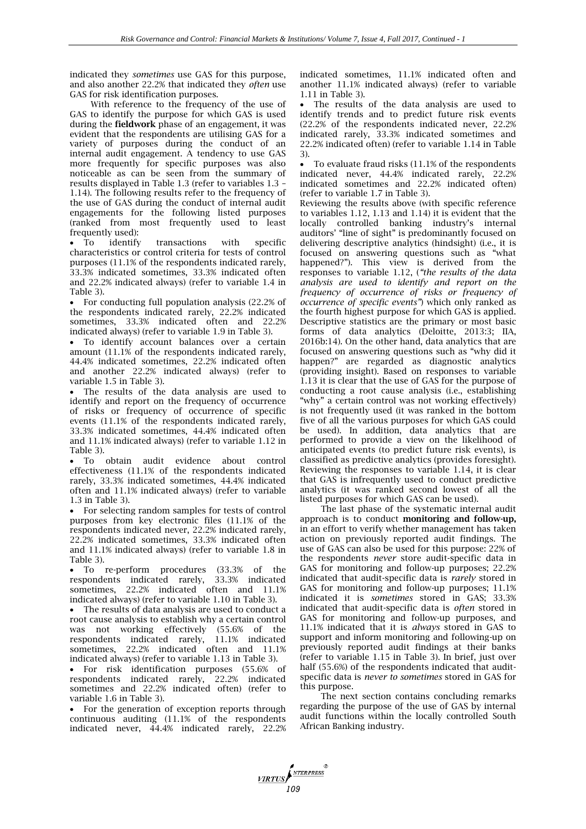indicated they *sometimes* use GAS for this purpose, and also another 22.2% that indicated they *often* use GAS for risk identification purposes.

With reference to the frequency of the use of GAS to identify the purpose for which GAS is used during the **fieldwork** phase of an engagement, it was evident that the respondents are utilising GAS for a variety of purposes during the conduct of an internal audit engagement. A tendency to use GAS more frequently for specific purposes was also noticeable as can be seen from the summary of results displayed in Table 1.3 (refer to variables 1.3 – 1.14). The following results refer to the frequency of the use of GAS during the conduct of internal audit engagements for the following listed purposes (ranked from most frequently used to least frequently used):

 To identify transactions with specific characteristics or control criteria for tests of control purposes (11.1% of the respondents indicated rarely, 33.3% indicated sometimes, 33.3% indicated often and 22.2% indicated always) (refer to variable 1.4 in Table 3).

 For conducting full population analysis (22.2% of the respondents indicated rarely, 22.2% indicated sometimes, 33.3% indicated often and 22.2% indicated always) (refer to variable 1.9 in Table 3).

 To identify account balances over a certain amount (11.1% of the respondents indicated rarely, 44.4% indicated sometimes, 22.2% indicated often and another 22.2% indicated always) (refer to variable 1.5 in Table 3).

 The results of the data analysis are used to identify and report on the frequency of occurrence of risks or frequency of occurrence of specific events (11.1% of the respondents indicated rarely, 33.3% indicated sometimes, 44.4% indicated often and 11.1% indicated always) (refer to variable 1.12 in Table 3).

 To obtain audit evidence about control effectiveness (11.1% of the respondents indicated rarely, 33.3% indicated sometimes, 44.4% indicated often and 11.1% indicated always) (refer to variable 1.3 in Table 3).

 For selecting random samples for tests of control purposes from key electronic files (11.1% of the respondents indicated never, 22.2% indicated rarely, 22.2% indicated sometimes, 33.3% indicated often and 11.1% indicated always) (refer to variable 1.8 in Table 3).

 To re-perform procedures (33.3% of the respondents indicated rarely, 33.3% indicated sometimes, 22.2% indicated often and 11.1% indicated always) (refer to variable 1.10 in Table 3).

 The results of data analysis are used to conduct a root cause analysis to establish why a certain control was not working effectively (55.6% of the respondents indicated rarely, 11.1% indicated sometimes, 22.2% indicated often and 11.1% indicated always) (refer to variable 1.13 in Table 3).

 For risk identification purposes (55.6% of respondents indicated rarely, 22.2% indicated sometimes and 22.2% indicated often) (refer to variable 1.6 in Table 3).

 For the generation of exception reports through continuous auditing (11.1% of the respondents indicated never, 44.4% indicated rarely, 22.2% indicated sometimes, 11.1% indicated often and another 11.1% indicated always) (refer to variable 1.11 in Table 3).

 The results of the data analysis are used to identify trends and to predict future risk events (22.2% of the respondents indicated never, 22.2% indicated rarely, 33.3% indicated sometimes and 22.2% indicated often) (refer to variable 1.14 in Table 3).

 To evaluate fraud risks (11.1% of the respondents indicated never, 44.4% indicated rarely, 22.2% indicated sometimes and 22.2% indicated often) (refer to variable 1.7 in Table 3).

Reviewing the results above (with specific reference to variables 1.12, 1.13 and 1.14) it is evident that the locally controlled banking industry's internal auditors' "line of sight" is predominantly focused on delivering descriptive analytics (hindsight) (i.e., it is focused on answering questions such as "what happened?"). This view is derived from the responses to variable 1.12, (*"the results of the data analysis are used to identify and report on the frequency of occurrence of risks or frequency of occurrence of specific events"*) which only ranked as the fourth highest purpose for which GAS is applied. Descriptive statistics are the primary or most basic forms of data analytics (Deloitte, 2013:3; IIA, 2016b:14). On the other hand, data analytics that are focused on answering questions such as "why did it happen?" are regarded as diagnostic analytics (providing insight). Based on responses to variable 1.13 it is clear that the use of GAS for the purpose of conducting a root cause analysis (i.e., establishing "why" a certain control was not working effectively) is not frequently used (it was ranked in the bottom five of all the various purposes for which GAS could be used). In addition, data analytics that are performed to provide a view on the likelihood of anticipated events (to predict future risk events), is classified as predictive analytics (provides foresight). Reviewing the responses to variable 1.14, it is clear that GAS is infrequently used to conduct predictive analytics (it was ranked second lowest of all the listed purposes for which GAS can be used).

The last phase of the systematic internal audit approach is to conduct **monitoring and follow-up,** in an effort to verify whether management has taken action on previously reported audit findings. The use of GAS can also be used for this purpose: 22% of the respondents *never* store audit-specific data in GAS for monitoring and follow-up purposes; 22.2% indicated that audit-specific data is *rarely* stored in GAS for monitoring and follow-up purposes; 11.1% indicated it is *sometimes* stored in GAS; 33.3% indicated that audit-specific data is *often* stored in GAS for monitoring and follow-up purposes, and 11.1% indicated that it is *always* stored in GAS to support and inform monitoring and following-up on previously reported audit findings at their banks (refer to variable 1.15 in Table 3). In brief, just over half (55.6%) of the respondents indicated that auditspecific data is *never to sometimes* stored in GAS for this purpose.

The next section contains concluding remarks regarding the purpose of the use of GAS by internal audit functions within the locally controlled South African Banking industry.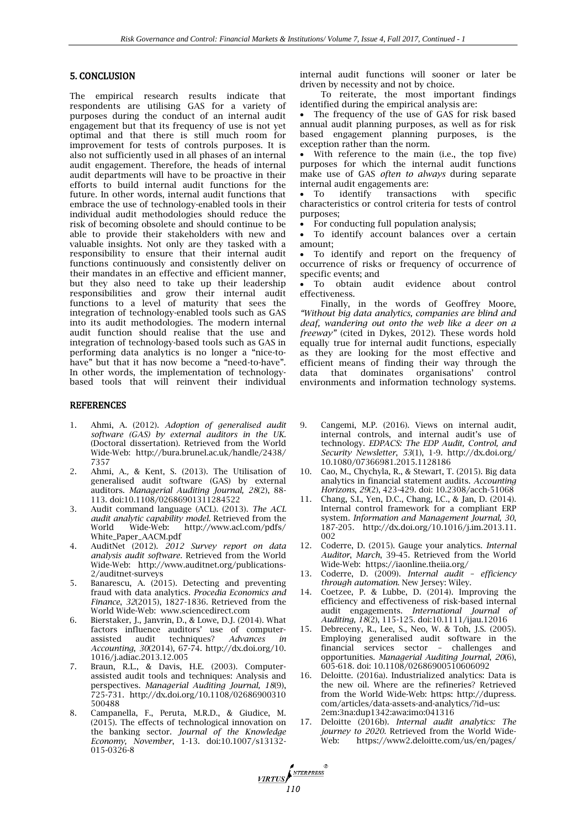## 5. CONCLUSION

The empirical research results indicate that respondents are utilising GAS for a variety of purposes during the conduct of an internal audit engagement but that its frequency of use is not yet optimal and that there is still much room for improvement for tests of controls purposes. It is also not sufficiently used in all phases of an internal audit engagement. Therefore, the heads of internal audit departments will have to be proactive in their efforts to build internal audit functions for the future. In other words, internal audit functions that embrace the use of technology-enabled tools in their individual audit methodologies should reduce the risk of becoming obsolete and should continue to be able to provide their stakeholders with new and valuable insights. Not only are they tasked with a responsibility to ensure that their internal audit functions continuously and consistently deliver on their mandates in an effective and efficient manner, but they also need to take up their leadership responsibilities and grow their internal audit functions to a level of maturity that sees the integration of technology-enabled tools such as GAS into its audit methodologies. The modern internal audit function should realise that the use and integration of technology-based tools such as GAS in performing data analytics is no longer a "nice-tohave" but that it has now become a "need-to-have". In other words, the implementation of technologybased tools that will reinvent their individual

### REFERENCES

- 1. Ahmi, A. (2012). *Adoption of generalised audit software (GAS) by external auditors in the UK.*  (Doctoral dissertation). Retrieved from the World Wide-Web: <http://bura.brunel.ac.uk/handle/2438/> 7357
- 2. Ahmi, A., & Kent, S. (2013). The Utilisation of generalised audit software (GAS) by external auditors. *Managerial Auditing Journal, 28*(2), 88- 113. doi:10.1108/02686901311284522
- 3. Audit command language (ACL). (2013). *The ACL audit analytic capability model.* Retrieved from the World Wide-Web: <http://www.acl.com/pdfs/> White\_Paper\_AACM.pdf
- 4. AuditNet (2012). *2012 Survey report on data analysis audit software.* Retrieved from the World Wide-Web: http://www.auditnet.org/publications-2/auditnet-surveys
- 5. Banarescu, A. (2015). Detecting and preventing fraud with data analytics. *Procedia Economics and Finance*, *32*(2015), 1827-1836. Retrieved from the World Wide-Web: www.sciencedirect.com
- 6. Bierstaker, J., Janvrin, D., & Lowe, D.J. (2014). What factors influence auditors' use of computer-<br>assisted audit techniques? Advances in techniques? *Advances in Accounting*, *30*(2014), 67-74. [http://dx.doi.org/10.](http://dx.doi.org/10) 1016/j.adiac.2013.12.005
- 7. Braun, R.L., & Davis, H.E. (2003). Computerassisted audit tools and techniques: Analysis and perspectives. *Managerial Auditing Journal, 18*(9), 725-731. <http://dx.doi.org/10.1108/02686900310> 500488
- 8. Campanella, F., Peruta, M.R.D., & Giudice, M. (2015). The effects of technological innovation on the banking sector. *Journal of the Knowledge Economy, November*, 1-13. doi:10.1007/s13132- 015-0326-8

**110** 

internal audit functions will sooner or later be driven by necessity and not by choice.

To reiterate, the most important findings identified during the empirical analysis are:

 The frequency of the use of GAS for risk based annual audit planning purposes, as well as for risk based engagement planning purposes, is the exception rather than the norm.

 With reference to the main (i.e., the top five) purposes for which the internal audit functions make use of GAS *often to always* during separate internal audit engagements are:<br>• To identify transaction

transactions with specific characteristics or control criteria for tests of control purposes;

For conducting full population analysis;

 To identify account balances over a certain amount;

 To identify and report on the frequency of occurrence of risks or frequency of occurrence of specific events; and<br>• To obtain at

audit evidence about control effectiveness.

Finally, in the words of Geoffrey Moore, *"Without big data analytics, companies are blind and deaf, wandering out onto the web like a deer on a freeway"* (cited in Dykes, 2012). These words hold equally true for internal audit functions, especially as they are looking for the most effective and efficient means of finding their way through the data that dominates organisations' control data that dominates organisations' control environments and information technology systems.

- 9. Cangemi, M.P. (2016). Views on internal audit, internal controls, and internal audit's use of technology. *EDPACS: The EDP Audit, Control, and Security Newsletter*, *53*(1), 1-9*.* <http://dx.doi.org/> 10.1080/07366981.2015.1128186
- 10. Cao, M., Chychyla, R., & Stewart, T. (2015). Big data analytics in financial statement audits. *Accounting Horizons*, *29*(2), 423-429. doi: 10.2308/acch-51068
- 11. Chang, S.I., Yen, D.C., Chang, I.C., & Jan, D. (2014). Internal control framework for a compliant ERP system. *Information and Management Journal, 30*, 187-205. [http://dx.doi.org/10.1016/j.im.2013.11.](http://dx.doi.org/10.1016/j.im.2013.11) 002
- 12. Coderre, D. (2015). Gauge your analytics. *Internal Auditor*, *March*, 39-45. Retrieved from the World Wide-Web: https://iaonline.theiia.org/
- 13. Coderre, D. (2009). *Internal audit – efficiency through automation*. New Jersey: Wiley.
- 14. Coetzee, P. & Lubbe, D. (2014). Improving the efficiency and effectiveness of risk-based internal audit engagements. *International Journal of Auditing, 18*(2), 115-125. doi:10.1111/ijau.12016
- 15. Debreceny, R., Lee, S., Neo, W. & Toh, J.S. (2005). Employing generalised audit software in the financial services sector – challenges and opportunities. *Managerial Auditing Journal*, *20*(6), 605-618. doi: 10.1108/02686900510606092
- 16. Deloitte. (2016a). Industrialized analytics: Data is the new oil. Where are the refineries? Retrieved from the World Wide-Web: https: http://dupress. com/articles/data-assets-and-analytics/?id=us: 2em:3na:dup1342:awa:imo:041316
- 17. Deloitte (2016b). *Internal audit analytics: The journey to 2020.* Retrieved from the World Wide-Web: <https://www2.deloitte.com/us/en/pages/>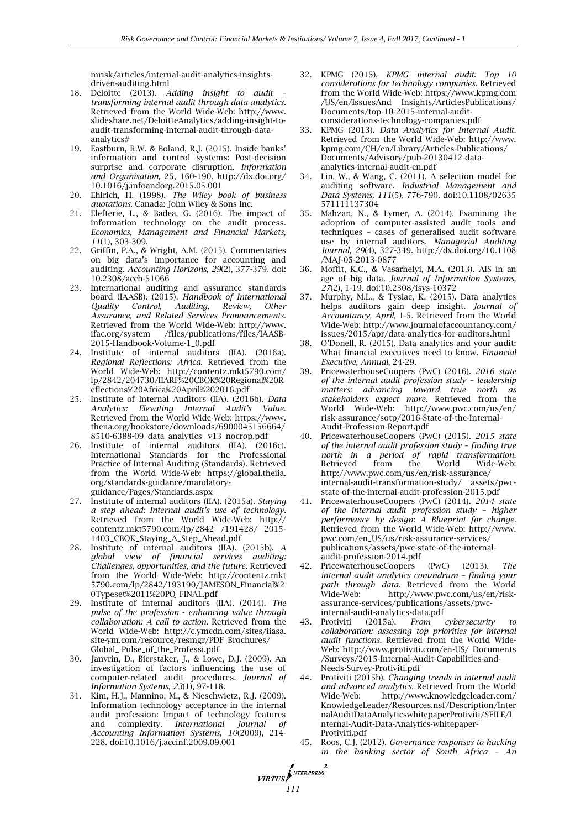mrisk/articles/internal-audit-analytics-insightsdriven-auditing.html

- 18. Deloitte (2013). *Adding insight to audit – transforming internal audit through data analytics.*  Retrieved from the World Wide-Web: [http://www.](http://www/) slideshare.net/DeloitteAnalytics/adding-insight-toaudit-transforming-internal-audit-through-dataanalytics#
- 19. Eastburn, R.W. & Boland, R.J. (2015). Inside banks' information and control systems: Post-decision surprise and corporate disruption. *Information and Organisation,* 25, 160-190.<http://dx.doi.org/> 10.1016/j.infoandorg.2015.05.001
- 20. Ehlrich, H. (1998). *The Wiley book of business quotations*. Canada: John Wiley & Sons Inc.
- 21. Elefterie, L., & Badea, G. (2016). The impact of information technology on the audit process. *Economics, Management and Financial Markets, 11*(1), 303-309.
- 22. Griffin, P.A., & Wright, A.M. (2015). Commentaries on big data's importance for accounting and auditing. *Accounting Horizons, 29*(2), 377-379. doi: 10.2308/acch-51066
- 23. International auditing and assurance standards board (IAASB). (2015). *Handbook of International Quality Control, Auditing, Review, Other Assurance, and Related Services Pronouncements.*  Retrieved from the World Wide-Web: [http://www.](http://www/) ifac.org/system /files/publications/files/IAASB-2015-Handbook-Volume-1\_0.pdf
- 24. Institute of internal auditors (IIA). (2016a). *Regional Reflections: Africa.* Retrieved from the World Wide-Web: <http://contentz.mkt5790.com/> lp/2842/204730/IIARF%20CBOK%20Regional%20R eflections%20Africa%20April%202016.pdf
- 25. Institute of Internal Auditors (IIA). (2016b). *Data Analytics: Elevating Internal Audit's Value.*  Retrieved from the World Wide-Web: [https://www.](https://www/) theiia.org/bookstore/downloads/6900045156664/ 8510-6388-09\_data\_analytics\_ v13\_nocrop.pdf
- 26. Institute of internal auditors (IIA). (2016c). International Standards for the Professional Practice of Internal Auditing (Standards). Retrieved from the World Wide-Web: https://global.theiia. org/standards-guidance/mandatoryguidance/Pages/Standards.aspx
- 27. Institute of internal auditors (IIA). (2015a). *Staying a step ahead: Internal audit's use of technology.*  Retrieved from the World Wide-Web: http:// contentz.mkt5790.com/lp/2842 /191428/ 2015- 1403\_CBOK\_Staying\_A\_Step\_Ahead.pdf
- 28. Institute of internal auditors (IIA). (2015b). *A global view of financial services auditing: Challenges, opportunities, and the future.* Retrieved from the World Wide-Web: [http://contentz.mkt](http://contentz.mkt/) 5790.com/lp/2842/193190/JAMESON\_Financial%2 0Typeset%2011%20PQ\_FINAL.pdf
- 29. Institute of internal auditors (IIA). (2014). *The pulse of the profession* - *enhancing value through collaboration: A call to action.* Retrieved from the World Wide-Web: [http://c.ymcdn.com/sites/iiasa.](http://c.ymcdn.com/sites/iiasa) site-ym.com/resource/resmgr/PDF\_Brochures/ Global\_ Pulse\_of\_the\_Professi.pdf
- 30. Janvrin, D., Bierstaker, J., & Lowe, D.J. (2009). An investigation of factors influencing the use of computer-related audit procedures. *Journal of Information Systems*, *23*(1), 97-118.
- 31. Kim, H.J., Mannino, M., & Nieschwietz, R.J. (2009). Information technology acceptance in the internal audit profession: Impact of technology features and complexity. *International Journal of Accounting Information Systems*, *10*(2009), 214- 228. doi:10.1016/j.accinf.2009.09.001

*VIRTUS* 

- 32. KPMG (2015). *KPMG internal audit: Top 10 considerations for technology companies.* Retrieved from the World Wide-Web: [https://www.kpmg.com](https://www.kpmg.com/) /US/en/IssuesAnd Insights/ArticlesPublications/ Documents/top-10-2015-internal-auditconsiderations-technology-companies.pdf
- 33. KPMG (2013). *Data Analytics for Internal Audit.* Retrieved from the World Wide-Web: [http://www.](http://www/) kpmg.com/CH/en/Library/Articles-Publications/ Documents/Advisory/pub-20130412-dataanalytics-internal-audit-en.pdf
- 34. Lin, W., & Wang, C. (2011). A selection model for auditing software. *Industrial Management and Data Systems, 111*(5), 776-790. doi:10.1108/02635 571111137304
- 35. Mahzan, N., & Lymer, A. (2014). Examining the adoption of computer-assisted audit tools and techniques – cases of generalised audit software use by internal auditors. *Managerial Auditing Journal, 29*(4), 327-349.<http://dx.doi.org/10.1108> /MAJ-05-2013-0877
- 36. Moffit, K.C., & Vasarhelyi, M.A. (2013). AIS in an age of big data. *Journal of Information Systems, 27*(2), 1-19. doi:10.2308/isys-10372
- 37. Murphy, M.L., & Tysiac, K. (2015). Data analytics helps auditors gain deep insight. *Journal of Accountancy, April*, 1-5. Retrieved from the World Wide-Web: <http://www.journalofaccountancy.com/> issues/2015/apr/data-analytics-for-auditors.html
- 38. O'Donell, R. (2015). Data analytics and your audit: What financial executives need to know. *Financial Executive, Annual*, 24-29.
- 39. PricewaterhouseCoopers (PwC) (2016). *2016 state of the internal audit profession study – leadership matters: advancing toward true north as stakeholders expect more.* Retrieved from the World Wide-Web: <http://www.pwc.com/us/en/> risk-assurance/sotp/2016-State-of-the-Internal-Audit-Profession-Report.pdf
- 40. PricewaterhouseCoopers (PwC) (2015). *2015 state of the internal audit profession study – finding true north in a period of rapid transformation.* Retrieved from the World Wide-Web: <http://www.pwc.com/us/en/risk-assurance/> internal-audit-transformation-study/ assets/pwcstate-of-the-internal-audit-profession-2015.pdf
- 41. PricewaterhouseCoopers (PwC) (2014). *2014 state of the internal audit profession study – higher performance by design: A Blueprint for change.* Retrieved from the World Wide-Web: [http://www.](http://www/) pwc.com/en\_US/us/risk-assurance-services/ publications/assets/pwc-state-of-the-internalaudit-profession-2014.pdf
- 42. PricewaterhouseCoopers (PwC) (2013). *The internal audit analytics conundrum – finding your path through data.* Retrieved from the World Wide-Web: http://www.pwc.com/us/en/riskassurance-services/publications/assets/pwcinternal-audit-analytics-data.pdf
- 43. Protiviti (2015a). *From cybersecurity to collaboration: assessing top priorities for internal audit functions*. Retrieved from the World Wide-Web: http://www.protiviti.com/en-US/ Documents /Surveys/2015-Internal-Audit-Capabilities-and-Needs-Survey-Protiviti.pdf
- 44. Protiviti (2015b). *Changing trends in internal audit and advanced analytics.* Retrieved from the World Wide-Web: <http://www.knowledgeleader.com/> KnowledgeLeader/Resources.nsf/Description/Inter nalAuditDataAnalyticswhitepaperProtiviti/\$FILE/I nternal-Audit-Data-Analytics-whitepaper-Protiviti.pdf
- 45. Roos, C.J. (2012). *Governance responses to hacking in the banking sector of South Africa – An*